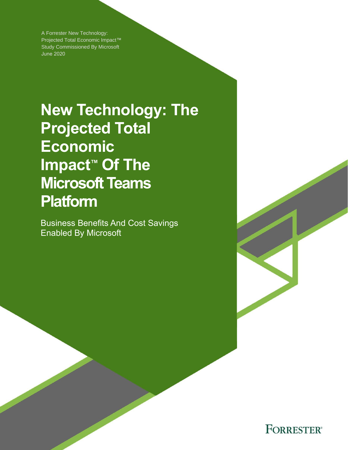A Forrester New Technology: Projected Total Economic Impact™ Study Commissioned By Microsoft June 2020

# **New Technology: The Projected Total Economic Impact™ Of The Microsoft Teams Platform**

Business Benefits And Cost Savings Enabled By Microsoft

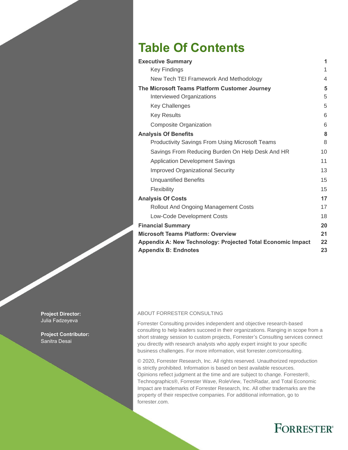# **Table Of Contents**

| <b>Executive Summary</b>                                    | 1  |
|-------------------------------------------------------------|----|
| <b>Key Findings</b>                                         | 1  |
| New Tech TEI Framework And Methodology                      | 4  |
| The Microsoft Teams Platform Customer Journey               | 5  |
| Interviewed Organizations                                   | 5  |
| <b>Key Challenges</b>                                       | 5  |
| <b>Key Results</b>                                          | 6  |
| Composite Organization                                      | 6  |
| <b>Analysis Of Benefits</b>                                 | 8  |
| <b>Productivity Savings From Using Microsoft Teams</b>      | 8  |
| Savings From Reducing Burden On Help Desk And HR            | 10 |
| <b>Application Development Savings</b>                      | 11 |
| <b>Improved Organizational Security</b>                     | 13 |
| <b>Unquantified Benefits</b>                                | 15 |
| Flexibility                                                 | 15 |
| <b>Analysis Of Costs</b>                                    | 17 |
| <b>Rollout And Ongoing Management Costs</b>                 | 17 |
| Low-Code Development Costs                                  | 18 |
| <b>Financial Summary</b>                                    | 20 |
| <b>Microsoft Teams Platform: Overview</b>                   | 21 |
| Appendix A: New Technology: Projected Total Economic Impact | 22 |
| <b>Appendix B: Endnotes</b>                                 | 23 |

#### ABOUT FORRESTER CONSULTING

Forrester Consulting provides independent and objective research-based consulting to help leaders succeed in their organizations. Ranging in scope from a short strategy session to custom projects, Forrester's Consulting services connect you directly with research analysts who apply expert insight to your specific business challenges. For more information, visit forrester.com/consulting.

© 2020, Forrester Research, Inc. All rights reserved. Unauthorized reproduction is strictly prohibited. Information is based on best available resources. Opinions reflect judgment at the time and are subject to change. Forrester®, Technographics®, Forrester Wave, RoleView, TechRadar, and Total Economic Impact are trademarks of Forrester Research, Inc. All other trademarks are the property of their respective companies. For additional information, go to forrester.com.

# **FORRESTER®**

**Project Director:** Julia Fadzeyeva

**Project Contributor:**  Sanitra Desai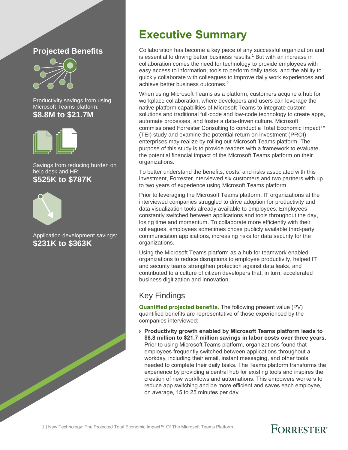#### **Projected Benefits**



Productivity savings from using Microsoft Teams platform: **\$8.8M to \$21.7M**



Savings from reducing burden on help desk and HR: **\$525K to \$787K**



Application development savings: **\$231K to \$363K**

# **Executive Summary**

Collaboration has become a key piece of any successful organization and is essential to driving better business results.<sup>1</sup> But with an increase in collaboration comes the need for technology to provide employees with easy access to information, tools to perform daily tasks, and the ability to quickly collaborate with colleagues to improve daily work experiences and achieve better business outcomes. 2

When using Microsoft Teams as a platform, customers acquire a hub for workplace collaboration, where developers and users can leverage the native platform capabilities of Microsoft Teams to integrate custom solutions and traditional full-code and low-code technology to create apps, automate processes, and foster a data-driven culture. Microsoft commissioned Forrester Consulting to conduct a Total Economic Impact™ (TEI) study and examine the potential return on investment (PROI) enterprises may realize by rolling out Microsoft Teams platform. The purpose of this study is to provide readers with a framework to evaluate the potential financial impact of the Microsoft Teams platform on their organizations.

To better understand the benefits, costs, and risks associated with this investment, Forrester interviewed six customers and two partners with up to two years of experience using Microsoft Teams platform.

Prior to leveraging the Microsoft Teams platform, IT organizations at the interviewed companies struggled to drive adoption for productivity and data visualization tools already available to employees. Employees constantly switched between applications and tools throughout the day, losing time and momentum. To collaborate more efficiently with their colleagues, employees sometimes chose publicly available third-party communication applications, increasing risks for data security for the organizations.

Using the Microsoft Teams platform as a hub for teamwork enabled organizations to reduce disruptions to employee productivity, helped IT and security teams strengthen protection against data leaks, and contributed to a culture of citizen developers that, in turn, accelerated business digitization and innovation.

#### Key Findings

**Quantified projected benefits.** The following present value (PV) quantified benefits are representative of those experienced by the companies interviewed:

› **Productivity growth enabled by Microsoft Teams platform leads to \$8.8 million to \$21.7 million savings in labor costs over three years.** Prior to using Microsoft Teams platform, organizations found that employees frequently switched between applications throughout a workday, including their email, instant messaging, and other tools needed to complete their daily tasks. The Teams platform transforms the experience by providing a central hub for existing tools and inspires the creation of new workflows and automations. This empowers workers to reduce app switching and be more efficient and saves each employee, on average, 15 to 25 minutes per day.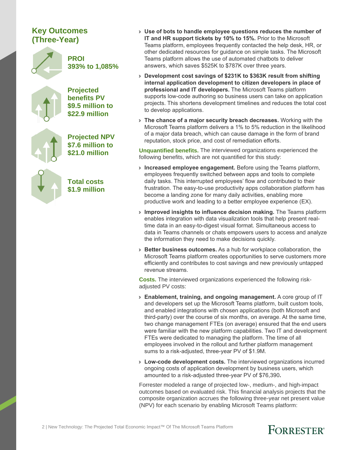#### **Key Outcomes (Three-Year)**



**PROI 393% to 1,085%**

**Projected benefits PV \$9.5 million to \$22.9 million**

**Projected NPV \$7.6 million to \$21.0 million**

**Total costs \$1.9 million**

- › **Use of bots to handle employee questions reduces the number of IT and HR support tickets by 10% to 15%.** Prior to the Microsoft Teams platform, employees frequently contacted the help desk, HR, or other dedicated resources for guidance on simple tasks. The Microsoft Teams platform allows the use of automated chatbots to deliver answers, which saves \$525K to \$787K over three years.
- › **Development cost savings of \$231K to \$363K result from shifting internal application development to citizen developers in place of professional and IT developers.** The Microsoft Teams platform supports low-code authoring so business users can take on application projects. This shortens development timelines and reduces the total cost to develop applications.
- › **The chance of a major security breach decreases.** Working with the Microsoft Teams platform delivers a 1% to 5% reduction in the likelihood of a major data breach, which can cause damage in the form of brand reputation, stock price, and cost of remediation efforts.

**Unquantified benefits.** The interviewed organizations experienced the following benefits, which are not quantified for this study:

- › **Increased employee engagement.** Before using the Teams platform, employees frequently switched between apps and tools to complete daily tasks. This interrupted employees' flow and contributed to their frustration. The easy-to-use productivity apps collaboration platform has become a landing zone for many daily activities, enabling more productive work and leading to a better employee experience (EX).
- › **Improved insights to influence decision making.** The Teams platform enables integration with data visualization tools that help present realtime data in an easy-to-digest visual format. Simultaneous access to data in Teams channels or chats empowers users to access and analyze the information they need to make decisions quickly.
- › **Better business outcomes.** As a hub for workplace collaboration, the Microsoft Teams platform creates opportunities to serve customers more efficiently and contributes to cost savings and new previously untapped revenue streams.

**Costs.** The interviewed organizations experienced the following riskadjusted PV costs:

- › **Enablement, training, and ongoing management.** A core group of IT and developers set up the Microsoft Teams platform, built custom tools, and enabled integrations with chosen applications (both Microsoft and third-party) over the course of six months, on average. At the same time, two change management FTEs (on average) ensured that the end users were familiar with the new platform capabilities. Two IT and development FTEs were dedicated to managing the platform. The time of all employees involved in the rollout and further platform management sums to a risk-adjusted, three-year PV of \$1.9M.
- › **Low-code development costs.** The interviewed organizations incurred ongoing costs of application development by business users, which amounted to a risk-adjusted three-year PV of \$76,390**.**

Forrester modeled a range of projected low-, medium-, and high-impact outcomes based on evaluated risk. This financial analysis projects that the composite organization accrues the following three-year net present value (NPV) for each scenario by enabling Microsoft Teams platform:

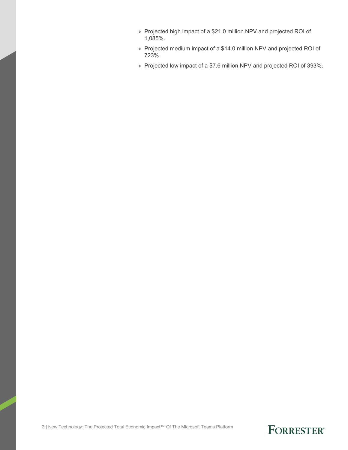- › Projected high impact of a \$21.0 million NPV and projected ROI of 1,085%.
- › Projected medium impact of a \$14.0 million NPV and projected ROI of 723%.
- › Projected low impact of a \$7.6 million NPV and projected ROI of 393%.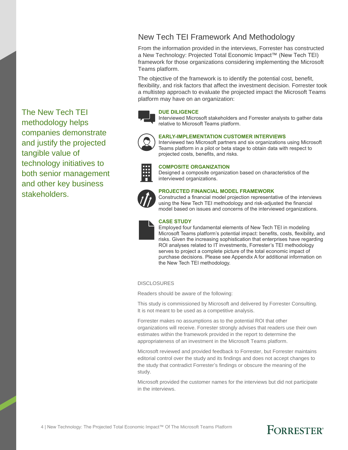#### New Tech TEI Framework And Methodology

From the information provided in the interviews, Forrester has constructed a New Technology: Projected Total Economic Impact™ (New Tech TEI) framework for those organizations considering implementing the Microsoft Teams platform.

The objective of the framework is to identify the potential cost, benefit, flexibility, and risk factors that affect the investment decision. Forrester took a multistep approach to evaluate the projected impact the Microsoft Teams platform may have on an organization:



#### **DUE DILIGENCE**

Interviewed Microsoft stakeholders and Forrester analysts to gather data relative to Microsoft Teams platform.



#### **EARLY-IMPLEMENTATION CUSTOMER INTERVIEWS**

Interviewed two Microsoft partners and six organizations using Microsoft Teams platform in a pilot or beta stage to obtain data with respect to projected costs, benefits, and risks.



#### **COMPOSITE ORGANIZATION**

Designed a composite organization based on characteristics of the interviewed organizations.



#### **PROJECTED FINANCIAL MODEL FRAMEWORK**

Constructed a financial model projection representative of the interviews using the New Tech TEI methodology and risk-adjusted the financial model based on issues and concerns of the interviewed organizations.



#### **CASE STUDY**

Employed four fundamental elements of New Tech TEI in modeling Microsoft Teams platform's potential impact: benefits, costs, flexibility, and risks. Given the increasing sophistication that enterprises have regarding ROI analyses related to IT investments, Forrester's TEI methodology serves to project a complete picture of the total economic impact of purchase decisions. Please see Appendix A for additional information on the New Tech TEI methodology.

**DISCLOSURES** 

Readers should be aware of the following:

This study is commissioned by Microsoft and delivered by Forrester Consulting. It is not meant to be used as a competitive analysis.

Forrester makes no assumptions as to the potential ROI that other organizations will receive. Forrester strongly advises that readers use their own estimates within the framework provided in the report to determine the appropriateness of an investment in the Microsoft Teams platform.

Microsoft reviewed and provided feedback to Forrester, but Forrester maintains editorial control over the study and its findings and does not accept changes to the study that contradict Forrester's findings or obscure the meaning of the study.

Microsoft provided the customer names for the interviews but did not participate in the interviews.

The New Tech TEI methodology helps companies demonstrate and justify the projected tangible value of technology initiatives to both senior management and other key business stakeholders.

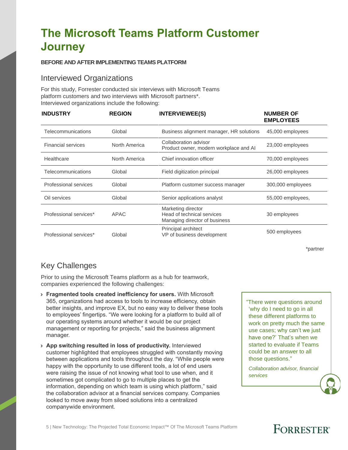# **The Microsoft Teams Platform Customer Journey**

#### **BEFORE AND AFTER IMPLEMENTING TEAMS PLATFORM**

#### Interviewed Organizations

For this study, Forrester conducted six interviews with Microsoft Teams platform customers and two interviews with Microsoft partners\*. Interviewed organizations include the following:

| <b>INDUSTRY</b>           | <b>REGION</b> | <b>INTERVIEWEE(S)</b>                                                             | <b>NUMBER OF</b><br><b>EMPLOYEES</b> |
|---------------------------|---------------|-----------------------------------------------------------------------------------|--------------------------------------|
| Telecommunications        | Global        | Business alignment manager, HR solutions                                          | 45,000 employees                     |
| <b>Financial services</b> | North America | Collaboration advisor<br>Product owner, modern workplace and AI                   | 23,000 employees                     |
| Healthcare                | North America | Chief innovation officer                                                          | 70,000 employees                     |
| Telecommunications        | Global        | Field digitization principal                                                      | 26,000 employees                     |
| Professional services     | Global        | Platform customer success manager                                                 | 300,000 employees                    |
| Oil services              | Global        | Senior applications analyst                                                       | 55,000 employees,                    |
| Professional services*    | <b>APAC</b>   | Marketing director<br>Head of technical services<br>Managing director of business | 30 employees                         |
| Professional services*    | Global        | Principal architect<br>VP of business development                                 | 500 employees                        |

\*partner

#### Key Challenges

Prior to using the Microsoft Teams platform as a hub for teamwork, companies experienced the following challenges:

- › **Fragmented tools created inefficiency for users.** With Microsoft 365, organizations had access to tools to increase efficiency, obtain better insights, and improve EX, but no easy way to deliver these tools to employees' fingertips. "We were looking for a platform to build all of our operating systems around whether it would be our project management or reporting for projects," said the business alignment manager.
- › **App switching resulted in loss of productivity.** Interviewed customer highlighted that employees struggled with constantly moving between applications and tools throughout the day. "While people were happy with the opportunity to use different tools, a lot of end users were raising the issue of not knowing what tool to use when, and it sometimes got complicated to go to multiple places to get the information, depending on which team is using which platform," said the collaboration advisor at a financial services company. Companies looked to move away from siloed solutions into a centralized companywide environment.

"There were questions around 'why do I need to go in all these different platforms to work on pretty much the same use cases; why can't we just have one?' That's when we started to evaluate if Teams could be an answer to all those questions."

*Collaboration advisor, financial services*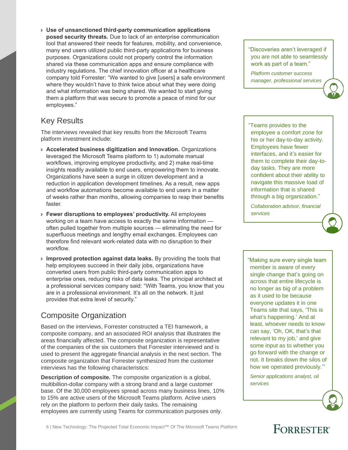› **Use of unsanctioned third-party communication applications posed security threats.** Due to lack of an enterprise communication tool that answered their needs for features, mobility, and convenience, many end users utilized public third-party applications for business purposes. Organizations could not properly control the information shared via these communication apps and ensure compliance with industry regulations. The chief innovation officer at a healthcare company told Forrester: "We wanted to give [users] a safe environment where they wouldn't have to think twice about what they were doing and what information was being shared. We wanted to start giving them a platform that was secure to promote a peace of mind for our employees."

#### Key Results

The interviews revealed that key results from the Microsoft Teams platform investment include:

- › **Accelerated business digitization and innovation.** Organizations leveraged the Microsoft Teams platform to 1) automate manual workflows, improving employee productivity, and 2) make real-time insights readily available to end users, empowering them to innovate. Organizations have seen a surge in citizen development and a reduction in application development timelines. As a result, new apps and workflow automations become available to end users in a matter of weeks rather than months, allowing companies to reap their benefits faster.
- › **Fewer disruptions to employees' productivity.** All employees working on a team have access to exactly the same information often pulled together from multiple sources — eliminating the need for superfluous meetings and lengthy email exchanges. Employees can therefore find relevant work-related data with no disruption to their workflow.
- › **Improved protection against data leaks.** By providing the tools that help employees succeed in their daily jobs, organizations have converted users from public third-party communication apps to enterprise ones, reducing risks of data leaks. The principal architect at a professional services company said: "With Teams, you know that you are in a professional environment. It's all on the network. It just provides that extra level of security."

#### Composite Organization

Based on the interviews, Forrester constructed a TEI framework, a composite company, and an associated ROI analysis that illustrates the areas financially affected. The composite organization is representative of the companies of the six customers that Forrester interviewed and is used to present the aggregate financial analysis in the next section. The composite organization that Forrester synthesized from the customer interviews has the following characteristics:

**Description of composite.** The composite organization is a global, multibillion-dollar company with a strong brand and a large customer base. Of the 30,000 employees spread across many business lines, 10% to 15% are active users of the Microsoft Teams platform. Active users rely on the platform to perform their daily tasks. The remaining employees are currently using Teams for communication purposes only.

"Discoveries aren't leveraged if you are not able to seamlessly work as part of a team."

*Platform customer success manager, professional services*

"Teams provides to the employee a comfort zone for his or her day-to-day activity. Employees have fewer interfaces, and it's easier for them to complete their day-today tasks. They are more confident about their ability to navigate this massive load of information that is shared through a big organization."

*Collaboration advisor, financial services*

"Making sure every single team member is aware of every single change that's going on across that entire lifecycle is no longer as big of a problem as it used to be because everyone updates it in one Teams site that says, 'This is what's happening.' And at least, whoever needs to know can say, 'Oh, OK, that's that relevant to my job,' and give some input as to whether you go forward with the change or not. It breaks down the silos of how we operated previously.'"

*Senior applications analyst, oil services*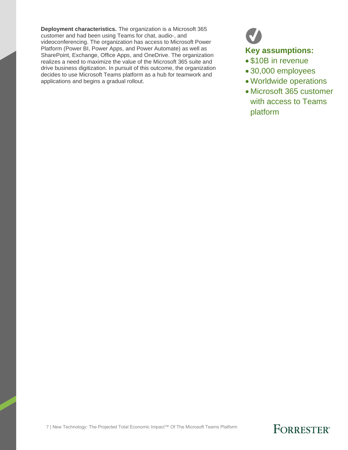**Deployment characteristics.** The organization is a Microsoft 365 customer and had been using Teams for chat, audio-, and videoconferencing. The organization has access to Microsoft Power Platform (Power BI, Power Apps, and Power Automate) as well as SharePoint, Exchange, Office Apps, and OneDrive. The organization realizes a need to maximize the value of the Microsoft 365 suite and drive business digitization. In pursuit of this outcome, the organization decides to use Microsoft Teams platform as a hub for teamwork and applications and begins a gradual rollout.

### **Key assumptions:**

- \$10B in revenue
- 30,000 employees
- Worldwide operations
- Microsoft 365 customer with access to Teams platform

7 | New Technology: The Projected Total Economic Impact™ Of The Microsoft Teams Platform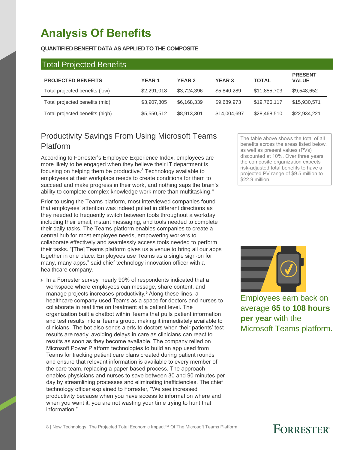# **Analysis Of Benefits**

#### **QUANTIFIED BENEFIT DATA AS APPLIED TO THE COMPOSITE**

| <b>Total Projected Benefits</b> |              |               |               |              |                                |
|---------------------------------|--------------|---------------|---------------|--------------|--------------------------------|
| <b>PROJECTED BENEFITS</b>       | <b>YEAR1</b> | <b>YEAR 2</b> | <b>YEAR 3</b> | <b>TOTAL</b> | <b>PRESENT</b><br><b>VALUE</b> |
| Total projected benefits (low)  | \$2,291,018  | \$3,724,396   | \$5,840,289   | \$11,855,703 | \$9,548,652                    |
| Total projected benefits (mid)  | \$3,907,805  | \$6,168,339   | \$9,689,973   | \$19,766,117 | \$15,930,571                   |
| Total projected benefits (high) | \$5,550,512  | \$8,913,301   | \$14,004,697  | \$28,468,510 | \$22,934,221                   |

#### Productivity Savings From Using Microsoft Teams Platform

According to Forrester's Employee Experience Index, employees are more likely to be engaged when they believe their IT department is focusing on helping them be productive.<sup>3</sup> Technology available to employees at their workplace needs to create conditions for them to succeed and make progress in their work, and nothing saps the brain's ability to complete complex knowledge work more than multitasking.<sup>4</sup>

Prior to using the Teams platform, most interviewed companies found that employees' attention was indeed pulled in different directions as they needed to frequently switch between tools throughout a workday, including their email, instant messaging, and tools needed to complete their daily tasks. The Teams platform enables companies to create a central hub for most employee needs, empowering workers to collaborate effectively and seamlessly access tools needed to perform their tasks. "[The] Teams platform gives us a venue to bring all our apps together in one place. Employees use Teams as a single sign-on for many, many apps," said chief technology innovation officer with a healthcare company.

› In a Forrester survey, nearly 90% of respondents indicated that a workspace where employees can message, share content, and manage projects increases productivity.<sup>5</sup> Along these lines, a healthcare company used Teams as a space for doctors and nurses to collaborate in real time on treatment at a patient level. The organization built a chatbot within Teams that pulls patient information and test results into a Teams group, making it immediately available to clinicians. The bot also sends alerts to doctors when their patients' test results are ready, avoiding delays in care as clinicians can react to results as soon as they become available. The company relied on Microsoft Power Platform technologies to build an app used from Teams for tracking patient care plans created during patient rounds and ensure that relevant information is available to every member of the care team, replacing a paper-based process. The approach enables physicians and nurses to save between 30 and 90 minutes per day by streamlining processes and eliminating inefficiencies. The chief technology officer explained to Forrester, "We see increased productivity because when you have access to information where and when you want it, you are not wasting your time trying to hunt that information."

The table above shows the total of all benefits across the areas listed below, as well as present values (PVs) discounted at 10%. Over three years, the composite organization expects risk-adjusted total benefits to have a projected PV range of \$9.5 million to \$22.9 million.



Employees earn back on average **65 to 108 hours per year** with the Microsoft Teams platform.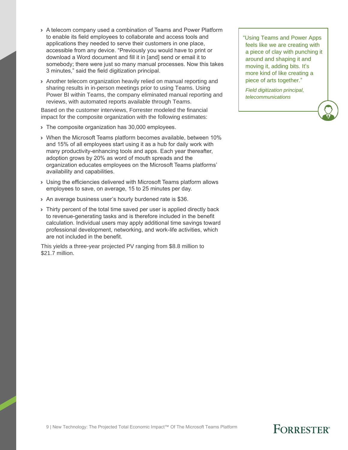- › A telecom company used a combination of Teams and Power Platform to enable its field employees to collaborate and access tools and applications they needed to serve their customers in one place, accessible from any device. "Previously you would have to print or download a Word document and fill it in [and] send or email it to somebody; there were just so many manual processes. Now this takes 3 minutes," said the field digitization principal.
- › Another telecom organization heavily relied on manual reporting and sharing results in in-person meetings prior to using Teams. Using Power BI within Teams, the company eliminated manual reporting and reviews, with automated reports available through Teams.

Based on the customer interviews, Forrester modeled the financial impact for the composite organization with the following estimates:

- › The composite organization has 30,000 employees.
- › When the Microsoft Teams platform becomes available, between 10% and 15% of all employees start using it as a hub for daily work with many productivity-enhancing tools and apps. Each year thereafter, adoption grows by 20% as word of mouth spreads and the organization educates employees on the Microsoft Teams platforms' availability and capabilities.
- › Using the efficiencies delivered with Microsoft Teams platform allows employees to save, on average, 15 to 25 minutes per day.
- › An average business user's hourly burdened rate is \$36.
- › Thirty percent of the total time saved per user is applied directly back to revenue-generating tasks and is therefore included in the benefit calculation. Individual users may apply additional time savings toward professional development, networking, and work-life activities, which are not included in the benefit.

This yields a three-year projected PV ranging from \$8.8 million to \$21.7 million.

"Using Teams and Power Apps feels like we are creating with a piece of clay with punching it around and shaping it and moving it, adding bits. It's more kind of like creating a piece of arts together."

*Field digitization principal, telecommunications*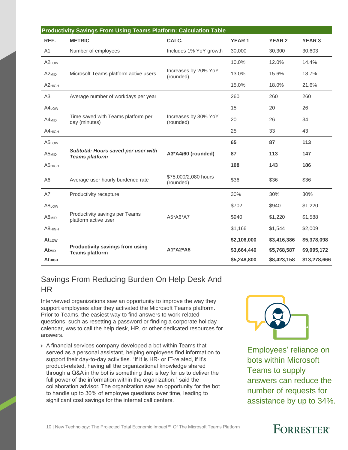| <b>Productivity Savings From Using Teams Platform: Calculation Table</b> |                                                                 |                                   |              |               |               |  |  |
|--------------------------------------------------------------------------|-----------------------------------------------------------------|-----------------------------------|--------------|---------------|---------------|--|--|
| REF.                                                                     | <b>METRIC</b>                                                   | CALC.                             | <b>YEAR1</b> | <b>YEAR 2</b> | <b>YEAR 3</b> |  |  |
| A <sub>1</sub>                                                           | Number of employees                                             | Includes 1% YoY growth            | 30,000       | 30,300        | 30,603        |  |  |
| A <sub>2</sub> Low                                                       |                                                                 |                                   | 10.0%        | 12.0%         | 14.4%         |  |  |
| A <sub>2MID</sub>                                                        | Microsoft Teams platform active users                           | Increases by 20% YoY<br>(rounded) | 13.0%        | 15.6%         | 18.7%         |  |  |
| A <sub>2HIGH</sub>                                                       |                                                                 |                                   | 15.0%        | 18.0%         | 21.6%         |  |  |
| A <sub>3</sub>                                                           | Average number of workdays per year                             |                                   | 260          | 260           | 260           |  |  |
| A4 <sub>LOW</sub>                                                        |                                                                 |                                   | 15           | 20            | 26            |  |  |
| $A4_{MID}$                                                               | Time saved with Teams platform per<br>day (minutes)             | Increases by 30% YoY<br>(rounded) | 20           | 26            | 34            |  |  |
| A4HIGH                                                                   |                                                                 |                                   | 25           | 33            | 43            |  |  |
| A5LOW                                                                    |                                                                 |                                   | 65           | 87            | 113           |  |  |
| A5 <sub>MID</sub>                                                        | Subtotal: Hours saved per user with<br><b>Teams platform</b>    | A3*A4/60 (rounded)                | 87           | 113           | 147           |  |  |
| <b>А5</b> нісн                                                           |                                                                 |                                   | 108          | 143           | 186           |  |  |
| A6                                                                       | Average user hourly burdened rate                               | \$75,000/2,080 hours<br>(rounded) | \$36         | \$36          | \$36          |  |  |
| A7                                                                       | Productivity recapture                                          |                                   | 30%          | 30%           | 30%           |  |  |
| A8LOW                                                                    |                                                                 |                                   | \$702        | \$940         | \$1,220       |  |  |
| A8 <sub>MID</sub>                                                        | Productivity savings per Teams<br>platform active user          | A5*A6*A7                          | \$940        | \$1,220       | \$1,588       |  |  |
| <b>А8</b> нісн                                                           |                                                                 |                                   | \$1,166      | \$1,544       | \$2,009       |  |  |
| At <sub>Low</sub>                                                        |                                                                 |                                   | \$2,106,000  | \$3,416,386   | \$5,378,098   |  |  |
| At <sub>MID</sub>                                                        | <b>Productivity savings from using</b><br><b>Teams platform</b> | A1*A2*A8                          | \$3,664,440  | \$5,768,587   | \$9,095,172   |  |  |
| At <sub>HIGH</sub>                                                       |                                                                 |                                   | \$5,248,800  | \$8,423,158   | \$13,278,666  |  |  |

#### Savings From Reducing Burden On Help Desk And HR

Interviewed organizations saw an opportunity to improve the way they support employees after they activated the Microsoft Teams platform. Prior to Teams, the easiest way to find answers to work-related questions, such as resetting a password or finding a corporate holiday calendar, was to call the help desk, HR, or other dedicated resources for answers.

› A financial services company developed a bot within Teams that served as a personal assistant, helping employees find information to support their day-to-day activities. "If it is HR- or IT-related, if it's product-related, having all the organizational knowledge shared through a Q&A in the bot is something that is key for us to deliver the full power of the information within the organization," said the collaboration advisor. The organization saw an opportunity for the bot to handle up to 30% of employee questions over time, leading to significant cost savings for the internal call centers.



Employees' reliance on bots within Microsoft Teams to supply answers can reduce the number of requests for assistance by up to 34%.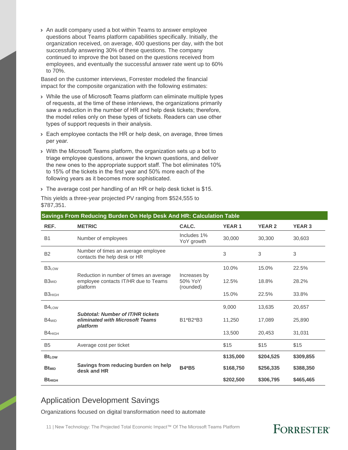› An audit company used a bot within Teams to answer employee questions about Teams platform capabilities specifically. Initially, the organization received, on average, 400 questions per day, with the bot successfully answering 30% of these questions. The company continued to improve the bot based on the questions received from employees, and eventually the successful answer rate went up to 60% to 70%.

Based on the customer interviews, Forrester modeled the financial impact for the composite organization with the following estimates:

- › While the use of Microsoft Teams platform can eliminate multiple types of requests, at the time of these interviews, the organizations primarily saw a reduction in the number of HR and help desk tickets; therefore, the model relies only on these types of tickets. Readers can use other types of support requests in their analysis.
- › Each employee contacts the HR or help desk, on average, three times per year.
- › With the Microsoft Teams platform, the organization sets up a bot to triage employee questions, answer the known questions, and deliver the new ones to the appropriate support staff. The bot eliminates 10% to 15% of the tickets in the first year and 50% more each of the following years as it becomes more sophisticated.

› The average cost per handling of an HR or help desk ticket is \$15.

This yields a three-year projected PV ranging from \$524,555 to \$787,351.

| REF.               | <b>METRIC</b>                                                                               | CALC.                                | <b>YEAR 1</b> | <b>YEAR 2</b> | <b>YEAR 3</b> |
|--------------------|---------------------------------------------------------------------------------------------|--------------------------------------|---------------|---------------|---------------|
| <b>B1</b>          | Number of employees                                                                         | Includes 1%<br>YoY growth            | 30,000        | 30,300        | 30,603        |
| <b>B2</b>          | Number of times an average employee<br>contacts the help desk or HR                         |                                      | 3             | 3             | 3             |
| B <sub>3Low</sub>  |                                                                                             |                                      | 10.0%         | 15.0%         | 22.5%         |
| B <sub>3MID</sub>  | Reduction in number of times an average<br>employee contacts IT/HR due to Teams<br>platform | Increases by<br>50% YoY<br>(rounded) | 12.5%         | 18.8%         | 28.2%         |
| <b>ВЗ</b> нісн     |                                                                                             |                                      | 15.0%         | 22.5%         | 33.8%         |
| B4 <sub>LOW</sub>  |                                                                                             |                                      | 9,000         | 13,635        | 20,657        |
| $B4_{MID}$         | <b>Subtotal: Number of IT/HR tickets</b><br>eliminated with Microsoft Teams<br>platform     | B1*B2*B3                             | 11,250        | 17,089        | 25,890        |
| B4 <sub>HIGH</sub> |                                                                                             |                                      | 13,500        | 20,453        | 31,031        |
| B <sub>5</sub>     | Average cost per ticket                                                                     |                                      | \$15          | \$15          | \$15          |
| <b>Bt</b> Low      |                                                                                             |                                      | \$135,000     | \$204,525     | \$309,855     |
| <b>Bt</b> MID      | Savings from reducing burden on help<br>desk and HR                                         | <b>B4*B5</b>                         | \$168,750     | \$256,335     | \$388,350     |
| <b>Bt</b> HIGH     |                                                                                             |                                      | \$202,500     | \$306,795     | \$465,465     |

#### **Savings From Reducing Burden On Help Desk And HR: Calculation Table**

#### Application Development Savings

Organizations focused on digital transformation need to automate

11 | New Technology: The Projected Total Economic Impact™ Of The Microsoft Teams Platform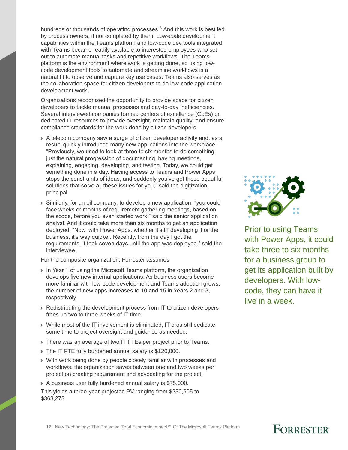hundreds or thousands of operating processes.<sup>6</sup> And this work is best led by process owners, if not completed by them. Low-code development capabilities within the Teams platform and low-code dev tools integrated with Teams became readily available to interested employees who set out to automate manual tasks and repetitive workflows. The Teams platform is the environment where work is getting done, so using lowcode development tools to automate and streamline workflows is a natural fit to observe and capture key use cases. Teams also serves as the collaboration space for citizen developers to do low-code application development work.

Organizations recognized the opportunity to provide space for citizen developers to tackle manual processes and day-to-day inefficiencies. Several interviewed companies formed centers of excellence (CoEs) or dedicated IT resources to provide oversight, maintain quality, and ensure compliance standards for the work done by citizen developers.

- › A telecom company saw a surge of citizen developer activity and, as a result, quickly introduced many new applications into the workplace. "Previously, we used to look at three to six months to do something, just the natural progression of documenting, having meetings, explaining, engaging, developing, and testing. Today, we could get something done in a day. Having access to Teams and Power Apps stops the constraints of ideas, and suddenly you've got these beautiful solutions that solve all these issues for you," said the digitization principal.
- › Similarly, for an oil company, to develop a new application, "you could face weeks or months of requirement gathering meetings, based on the scope, before you even started work," said the senior application analyst. And it could take more than six months to get an application deployed. "Now, with Power Apps, whether it's IT developing it or the business, it's way quicker. Recently, from the day I got the requirements, it took seven days until the app was deployed," said the interviewee.

For the composite organization, Forrester assumes:

- › In Year 1 of using the Microsoft Teams platform, the organization develops five new internal applications. As business users become more familiar with low-code development and Teams adoption grows, the number of new apps increases to 10 and 15 in Years 2 and 3, respectively.
- › Redistributing the development process from IT to citizen developers frees up two to three weeks of IT time.
- › While most of the IT involvement is eliminated, IT pros still dedicate some time to project oversight and guidance as needed.
- › There was an average of two IT FTEs per project prior to Teams.
- › The IT FTE fully burdened annual salary is \$120,000.
- › With work being done by people closely familiar with processes and workflows, the organization saves between one and two weeks per project on creating requirement and advocating for the project.

› A business user fully burdened annual salary is \$75,000. This yields a three-year projected PV ranging from \$230,605 to \$363,273.



Prior to using Teams with Power Apps, it could take three to six months for a business group to get its application built by developers. With lowcode, they can have it live in a week.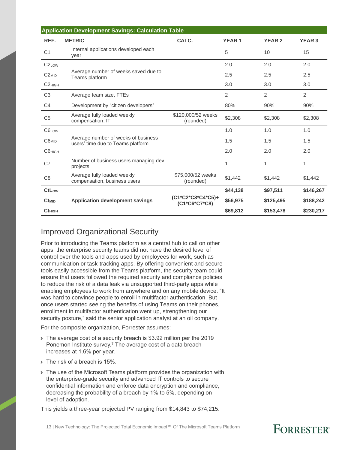| REF.                    | <b>METRIC</b>                                                            | CALC.                              | <b>YEAR1</b> | <b>YEAR 2</b>  | <b>YEAR 3</b> |
|-------------------------|--------------------------------------------------------------------------|------------------------------------|--------------|----------------|---------------|
| C <sub>1</sub>          | Internal applications developed each<br>vear                             |                                    | 5            | 10             | 15            |
| C <sub>2</sub> Low      |                                                                          |                                    | 2.0          | 2.0            | 2.0           |
| $C2_{MID}$              | Average number of weeks saved due to<br>Teams platform                   |                                    | 2.5          | 2.5            | 2.5           |
| C <sub>2HIGH</sub>      |                                                                          |                                    | 3.0          | 3.0            | 3.0           |
| C <sub>3</sub>          | Average team size, FTEs                                                  |                                    | 2            | $\overline{2}$ | 2             |
| C <sub>4</sub>          | Development by "citizen developers"                                      |                                    | 80%          | 90%            | 90%           |
| C <sub>5</sub>          | Average fully loaded weekly<br>compensation, IT                          | \$120,000/52 weeks<br>(rounded)    | \$2,308      | \$2,308        | \$2,308       |
| C6LOW                   |                                                                          |                                    | 1.0          | 1.0            | 1.0           |
| C6 <sub>MID</sub>       | Average number of weeks of business<br>users' time due to Teams platform |                                    | 1.5          | 1.5            | 1.5           |
| <b>С6</b> нісн          |                                                                          |                                    | 2.0          | 2.0            | 2.0           |
| C7                      | Number of business users managing dev<br>projects                        |                                    | 1            | 1              | 1             |
| C <sub>8</sub>          | Average fully loaded weekly<br>compensation, business users              | \$75,000/52 weeks<br>(rounded)     | \$1,442      | \$1,442        | \$1,442       |
| CtLow                   |                                                                          |                                    | \$44,138     | \$97,511       | \$146,267     |
| <b>Ct<sub>MID</sub></b> | <b>Application development savings</b>                                   | (C1*C2*C3*C4*C5)+<br>(C1*C6*C7*C8) | \$56,975     | \$125,495      | \$188,242     |
| <b>Cthigh</b>           |                                                                          |                                    | \$69,812     | \$153,478      | \$230,217     |

#### Improved Organizational Security

Prior to introducing the Teams platform as a central hub to call on other apps, the enterprise security teams did not have the desired level of control over the tools and apps used by employees for work, such as communication or task-tracking apps. By offering convenient and secure tools easily accessible from the Teams platform, the security team could ensure that users followed the required security and compliance policies to reduce the risk of a data leak via unsupported third-party apps while enabling employees to work from anywhere and on any mobile device. "It was hard to convince people to enroll in multifactor authentication. But once users started seeing the benefits of using Teams on their phones, enrollment in multifactor authentication went up, strengthening our security posture," said the senior application analyst at an oil company.

For the composite organization, Forrester assumes:

- > The average cost of a security breach is \$3.92 million per the 2019 Ponemon Institute survey.<sup>7</sup> The average cost of a data breach increases at 1.6% per year.
- › The risk of a breach is 15%.
- › The use of the Microsoft Teams platform provides the organization with the enterprise-grade security and advanced IT controls to secure confidential information and enforce data encryption and compliance, decreasing the probability of a breach by 1% to 5%, depending on level of adoption.

This yields a three-year projected PV ranging from \$14,843 to \$74,215.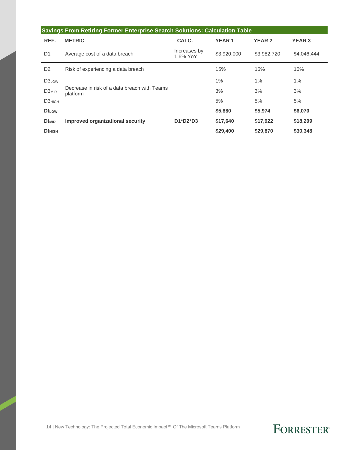| Savings From Retiring Former Enterprise Search Solutions: Calculation Table |                                                          |                          |              |               |               |  |  |
|-----------------------------------------------------------------------------|----------------------------------------------------------|--------------------------|--------------|---------------|---------------|--|--|
| REF.                                                                        | <b>METRIC</b>                                            | CALC.                    | <b>YEAR1</b> | <b>YEAR 2</b> | <b>YEAR 3</b> |  |  |
| D <sub>1</sub>                                                              | Average cost of a data breach                            | Increases by<br>1.6% YoY | \$3,920,000  | \$3,982,720   | \$4,046,444   |  |  |
| D <sub>2</sub>                                                              | Risk of experiencing a data breach                       |                          | 15%          | 15%           | 15%           |  |  |
| D3LOW                                                                       |                                                          |                          | 1%           | 1%            | $1\%$         |  |  |
| D <sub>3MID</sub>                                                           | Decrease in risk of a data breach with Teams<br>platform |                          | 3%           | 3%            | 3%            |  |  |
| D <sub>3HIGH</sub>                                                          |                                                          |                          | 5%           | 5%            | 5%            |  |  |
| $Dt_{LOW}$                                                                  |                                                          |                          | \$5,880      | \$5,974       | \$6,070       |  |  |
| <b>Dt</b> MID                                                               | Improved organizational security                         | $D1^*D2^*D3$             | \$17,640     | \$17,922      | \$18,209      |  |  |
| $Dt$ <sub>HIGH</sub>                                                        |                                                          |                          | \$29,400     | \$29,870      | \$30,348      |  |  |

14 | New Technology: The Projected Total Economic Impact™ Of The Microsoft Teams Platform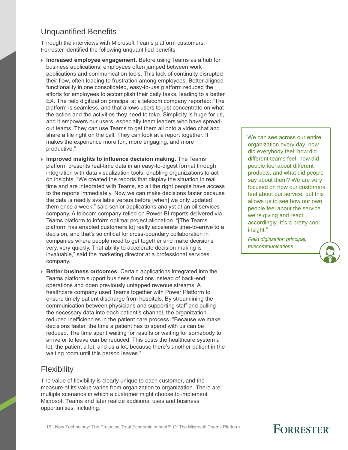#### Unquantified Benefits

Through the interviews with Microsoft Teams platform customers, Forrester identified the following unquantified benefits:

- › **Increased employee engagement.** Before using Teams as a hub for business applications, employees often jumped between work applications and communication tools. This lack of continuity disrupted their flow, often leading to frustration among employees. Better aligned functionality in one consolidated, easy-to-use platform reduced the efforts for employees to accomplish their daily tasks, leading to a better EX. The field digitization principal at a telecom company reported: "The platform is seamless, and that allows users to just concentrate on what the action and the activities they need to take. Simplicity is huge for us, and it empowers our users, especially team leaders who have spreadout teams. They can use Teams to get them all onto a video chat and share a file right on the call. They can look at a report together. It makes the experience more fun, more engaging, and more productive."
- › **Improved insights to influence decision making.** The Teams platform presents real-time data in an easy-to-digest format through integration with data visualization tools, enabling organizations to act on insights. "We created the reports that display the situation in real time and are integrated with Teams, so all the right people have access to the reports immediately. Now we can make decisions faster because the data is readily available versus before [when] we only updated them once a week," said senior applications analyst at an oil services company. A telecom company relied on Power BI reports delivered via Teams platform to inform optimal project allocation. "[The Teams platform has enabled customers to] really accelerate time-to-arrive to a decision, and that's so critical for cross-boundary collaboration in companies where people need to get together and make decisions very, very quickly. That ability to accelerate decision making is invaluable," said the marketing director at a professional services company.
- › **Better business outcomes.** Certain applications integrated into the Teams platform support business functions instead of back-end operations and open previously untapped revenue streams. A healthcare company used Teams together with Power Platform to ensure timely patient discharge from hospitals. By streamlining the communication between physicians and supporting staff and pulling the necessary data into each patient's channel, the organization reduced inefficiencies in the patient care process. "Because we make decisions faster, the time a patient has to spend with us can be reduced. The time spent waiting for results or waiting for somebody to arrive or to leave can be reduced. This costs the healthcare system a lot, the patient a lot, and us a lot, because there's another patient in the waiting room until this person leaves."

#### **Flexibility**

The value of flexibility is clearly unique to each customer, and the measure of its value varies from organization to organization. There are multiple scenarios in which a customer might choose to implement Microsoft Teams and later realize additional uses and business opportunities, including:

"We can see across our entire organization every day, how did everybody feel, how did different teams feel, how did people feel about different products, and what did people say about them? We are very focused on how our customers feel about our service, but this allows us to see how our own people feel about the service we're giving and react accordingly. It's a pretty cool insight."

*Field digitization principal, telecommunications*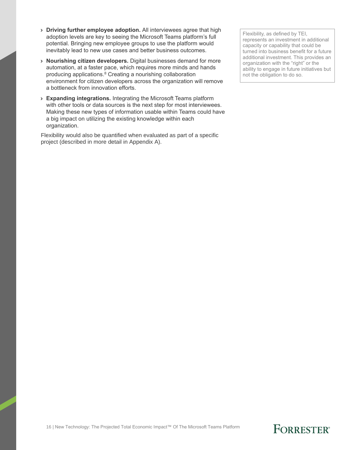- › **Driving further employee adoption.** All interviewees agree that high adoption levels are key to seeing the Microsoft Teams platform's full potential. Bringing new employee groups to use the platform would inevitably lead to new use cases and better business outcomes.
- › **Nourishing citizen developers.** Digital businesses demand for more automation, at a faster pace, which requires more minds and hands producing applications. <sup>8</sup> Creating a nourishing collaboration environment for citizen developers across the organization will remove a bottleneck from innovation efforts.
- › **Expanding integrations.** Integrating the Microsoft Teams platform with other tools or data sources is the next step for most interviewees. Making these new types of information usable within Teams could have a big impact on utilizing the existing knowledge within each organization.

Flexibility would also be quantified when evaluated as part of a specific project (described in more detail in Appendix A).

Flexibility, as defined by TEI, represents an investment in additional capacity or capability that could be turned into business benefit for a future additional investment. This provides an organization with the "right" or the ability to engage in future initiatives but not the obligation to do so.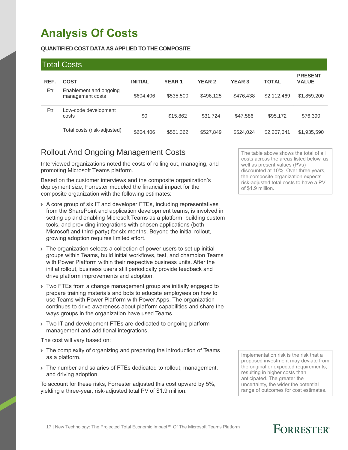# **Analysis Of Costs**

#### **QUANTIFIED COST DATA AS APPLIED TO THE COMPOSITE**

#### Total Costs

| REF. | <b>COST</b>                                | <b>INITIAL</b> | <b>YEAR1</b> | <b>YEAR 2</b> | <b>YEAR 3</b> | <b>TOTAL</b> | <b>PRESENT</b><br><b>VALUE</b> |
|------|--------------------------------------------|----------------|--------------|---------------|---------------|--------------|--------------------------------|
| Etr  | Enablement and ongoing<br>management costs | \$604,406      | \$535,500    | \$496,125     | \$476,438     | \$2,112,469  | \$1,859,200                    |
| Ftr  | Low-code development<br>costs              | \$0            | \$15,862     | \$31,724      | \$47,586      | \$95,172     | \$76,390                       |
|      | Total costs (risk-adjusted)                | \$604,406      | \$551,362    | \$527,849     | \$524,024     | \$2,207,641  | \$1,935,590                    |

#### Rollout And Ongoing Management Costs

Interviewed organizations noted the costs of rolling out, managing, and promoting Microsoft Teams platform.

Based on the customer interviews and the composite organization's deployment size, Forrester modeled the financial impact for the composite organization with the following estimates:

- › A core group of six IT and developer FTEs, including representatives from the SharePoint and application development teams, is involved in setting up and enabling Microsoft Teams as a platform, building custom tools, and providing integrations with chosen applications (both Microsoft and third-party) for six months. Beyond the initial rollout, growing adoption requires limited effort.
- › The organization selects a collection of power users to set up initial groups within Teams, build initial workflows, test, and champion Teams with Power Platform within their respective business units. After the initial rollout, business users still periodically provide feedback and drive platform improvements and adoption.
- › Two FTEs from a change management group are initially engaged to prepare training materials and bots to educate employees on how to use Teams with Power Platform with Power Apps. The organization continues to drive awareness about platform capabilities and share the ways groups in the organization have used Teams.
- › Two IT and development FTEs are dedicated to ongoing platform management and additional integrations.

The cost will vary based on:

- If The complexity of organizing and preparing the introduction of Teams as a platform.
- › The number and salaries of FTEs dedicated to rollout, management, and driving adoption.

To account for these risks, Forrester adjusted this cost upward by 5%, yielding a three-year, risk-adjusted total PV of \$1.9 million.

The table above shows the total of all costs across the areas listed below, as well as present values (PVs) discounted at 10%. Over three years, the composite organization expects risk-adjusted total costs to have a PV of \$1.9 million.

Implementation risk is the risk that a proposed investment may deviate from the original or expected requirements, resulting in higher costs than anticipated. The greater the uncertainty, the wider the potential range of outcomes for cost estimates.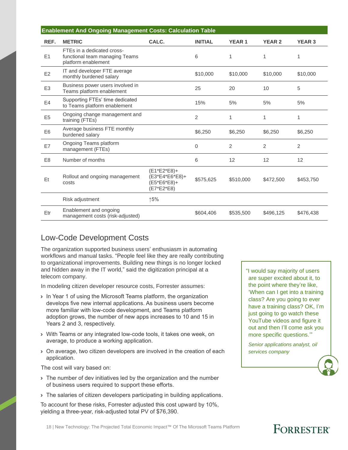| <b>Enablement And Ongoing Management Costs: Calculation Table</b> |                                                                                     |                                                              |                |                |                |                   |
|-------------------------------------------------------------------|-------------------------------------------------------------------------------------|--------------------------------------------------------------|----------------|----------------|----------------|-------------------|
| REF.                                                              | <b>METRIC</b>                                                                       | CALC.                                                        | <b>INITIAL</b> | <b>YEAR1</b>   | <b>YEAR 2</b>  | <b>YEAR 3</b>     |
| E1                                                                | FTEs in a dedicated cross-<br>functional team managing Teams<br>platform enablement |                                                              | 6              | 1              | 1              |                   |
| E2                                                                | IT and developer FTE average<br>monthly burdened salary                             |                                                              | \$10,000       | \$10,000       | \$10,000       | \$10,000          |
| E <sub>3</sub>                                                    | Business power users involved in<br>Teams platform enablement                       |                                                              | 25             | 20             | 10             | 5                 |
| E <sub>4</sub>                                                    | Supporting FTEs' time dedicated<br>to Teams platform enablement                     |                                                              | 15%            | 5%             | 5%             | 5%                |
| E <sub>5</sub>                                                    | Ongoing change management and<br>training (FTEs)                                    |                                                              | $\overline{2}$ | 1              | 1              |                   |
| E <sub>6</sub>                                                    | Average business FTE monthly<br>burdened salary                                     |                                                              | \$6,250        | \$6,250        | \$6,250        | \$6,250           |
| E7                                                                | Ongoing Teams platform<br>management (FTEs)                                         |                                                              | 0              | $\overline{2}$ | $\overline{2}$ | 2                 |
| E <sub>8</sub>                                                    | Number of months                                                                    |                                                              | 6              | 12             | 12             | $12 \overline{ }$ |
| Et                                                                | Rollout and ongoing management<br>costs                                             | $(E1*E2*E8)+$<br>(E3*E4*E6*E8)+<br>(E5*E6*E8)+<br>(E7*E2*E8) | \$575,625      | \$510,000      | \$472,500      | \$453,750         |
|                                                                   | Risk adjustment                                                                     | ↑5%                                                          |                |                |                |                   |
| Etr                                                               | Enablement and ongoing<br>management costs (risk-adjusted)                          |                                                              | \$604,406      | \$535,500      | \$496,125      | \$476,438         |

#### Low-Code Development Costs

The organization supported business users' enthusiasm in automating workflows and manual tasks. "People feel like they are really contributing to organizational improvements. Building new things is no longer locked and hidden away in the IT world," said the digitization principal at a telecom company.

In modeling citizen developer resource costs, Forrester assumes:

- › In Year 1 of using the Microsoft Teams platform, the organization develops five new internal applications. As business users become more familiar with low-code development, and Teams platform adoption grows, the number of new apps increases to 10 and 15 in Years 2 and 3, respectively.
- › With Teams or any integrated low-code tools, it takes one week, on average, to produce a working application.
- › On average, two citizen developers are involved in the creation of each application.

The cost will vary based on:

- › The number of dev initiatives led by the organization and the number of business users required to support these efforts.
- › The salaries of citizen developers participating in building applications.

To account for these risks, Forrester adjusted this cost upward by 10%, yielding a three-year, risk-adjusted total PV of \$76,390.

"I would say majority of users are super excited about it, to the point where they're like, 'When can I get into a training class? Are you going to ever have a training class? OK, I'm just going to go watch these YouTube videos and figure it out and then I'll come ask you more specific questions.'"

*Senior applications analyst, oil services company*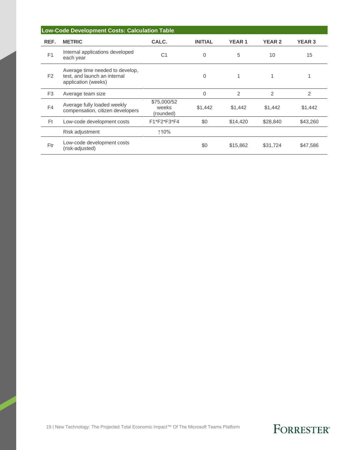| Low-Code Development Costs: Calculation Table |                                                                                        |                                   |                |              |               |               |  |
|-----------------------------------------------|----------------------------------------------------------------------------------------|-----------------------------------|----------------|--------------|---------------|---------------|--|
| REF.                                          | <b>METRIC</b>                                                                          | CALC.                             | <b>INITIAL</b> | <b>YEAR1</b> | <b>YEAR 2</b> | <b>YEAR 3</b> |  |
| F <sub>1</sub>                                | Internal applications developed<br>each year                                           | C <sub>1</sub>                    | 0              | 5            | 10            | 15            |  |
| F <sub>2</sub>                                | Average time needed to develop,<br>test, and launch an internal<br>application (weeks) |                                   | 0              |              |               |               |  |
| F <sub>3</sub>                                | Average team size                                                                      |                                   | 0              | 2            | 2             | 2             |  |
| F4                                            | Average fully loaded weekly<br>compensation, citizen developers                        | \$75,000/52<br>weeks<br>(rounded) | \$1,442        | \$1,442      | \$1,442       | \$1,442       |  |
| <b>Ft</b>                                     | Low-code development costs                                                             | F1*F2*F3*F4                       | \$0            | \$14,420     | \$28,840      | \$43,260      |  |
|                                               | Risk adjustment                                                                        | ↑10%                              |                |              |               |               |  |
| Ftr                                           | Low-code development costs<br>(risk-adjusted)                                          |                                   | \$0            | \$15,862     | \$31,724      | \$47,586      |  |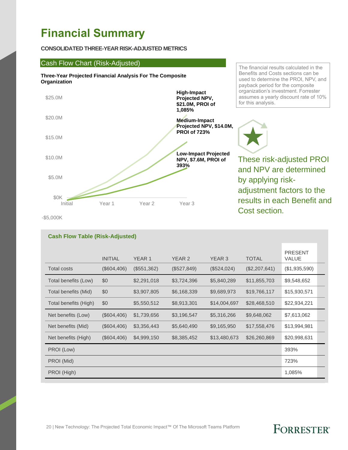# **Financial Summary**

#### **CONSOLIDATED THREE-YEAR RISK-ADJUSTED METRICS**

#### Cash Flow Chart (Risk-Adjusted)

**Cash Flow Table (Risk-Adjusted)**





The financial results calculated in the Benefits and Costs sections can be used to determine the PROI, NPV, and payback period for the composite organization's investment. Forrester assumes a yearly discount rate of 10% for this analysis.



These risk-adjusted PROI and NPV are determined by applying riskadjustment factors to the results in each Benefit and Cost section.

-\$5,000K

|                       | <b>INITIAL</b> | YEAR <sub>1</sub> | YEAR 2      | YEAR 3       | <b>TOTAL</b>    | <b>PRESENT</b><br><b>VALUE</b> |
|-----------------------|----------------|-------------------|-------------|--------------|-----------------|--------------------------------|
| <b>Total costs</b>    | $(\$604,406)$  | (\$551,362)       | (\$527,849) | (\$524,024)  | $(\$2,207,641)$ | (\$1,935,590)                  |
| Total benefits (Low)  | \$0            | \$2,291,018       | \$3,724,396 | \$5,840,289  | \$11,855,703    | \$9,548,652                    |
| Total benefits (Mid)  | \$0            | \$3,907,805       | \$6,168,339 | \$9,689,973  | \$19,766,117    | \$15,930,571                   |
| Total benefits (High) | \$0            | \$5,550,512       | \$8,913,301 | \$14,004,697 | \$28,468,510    | \$22,934,221                   |
| Net benefits (Low)    | $(\$604,406)$  | \$1,739,656       | \$3,196,547 | \$5,316,266  | \$9,648,062     | \$7,613,062                    |
| Net benefits (Mid)    | $(\$604,406)$  | \$3,356,443       | \$5,640,490 | \$9,165,950  | \$17,558,476    | \$13,994,981                   |
| Net benefits (High)   | $(\$604,406)$  | \$4,999,150       | \$8,385,452 | \$13,480,673 | \$26,260,869    | \$20,998,631                   |
| PROI (Low)            |                |                   |             |              |                 | 393%                           |
| PROI (Mid)            |                |                   |             |              |                 | 723%                           |
| PROI (High)           |                |                   |             |              |                 | 1,085%                         |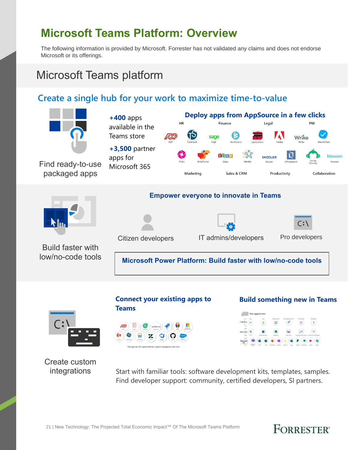# **Microsoft Teams Platform: Overview**

The following information is provided by Microsoft. Forrester has not validated any claims and does not endorse Microsoft or its offerings.

## Microsoft Teams platform

#### **Create a single hub for your work to maximize time-to-value**





Create custom integrations

Start with familiar tools: software development kits, templates, samples. Find developer support: community, certified developers, SI partners.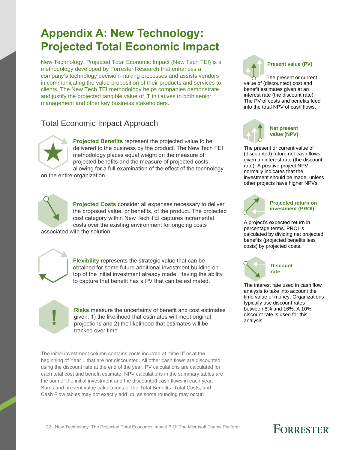# **Appendix A: New Technology: Projected Total Economic Impact**

New Technology: Projected Total Economic Impact (New Tech TEI) is a methodology developed by Forrester Research that enhances a company's technology decision-making processes and assists vendors in communicating the value proposition of their products and services to clients. The New Tech TEI methodology helps companies demonstrate and justify the projected tangible value of IT initiatives to both senior management and other key business stakeholders.

#### Total Economic Impact Approach



**Projected Benefits** represent the projected value to be delivered to the business by the product. The New Tech TEI methodology places equal weight on the measure of projected benefits and the measure of projected costs, allowing for a full examination of the effect of the technology

on the entire organization.



**Projected Costs** consider all expenses necessary to deliver the proposed value, or benefits, of the product. The projected cost category within New Tech TEI captures incremental costs over the existing environment for ongoing costs

associated with the solution.



**Flexibility** represents the strategic value that can be obtained for some future additional investment building on top of the initial investment already made. Having the ability to capture that benefit has a PV that can be estimated.

**Risks** measure the uncertainty of benefit and cost estimates given: 1) the likelihood that estimates will meet original projections and 2) the likelihood that estimates will be tracked over time.

The initial investment column contains costs incurred at "time 0" or at the beginning of Year 1 that are not discounted. All other cash flows are discounted using the discount rate at the end of the year. PV calculations are calculated for each total cost and benefit estimate. NPV calculations in the summary tables are the sum of the initial investment and the discounted cash flows in each year. Sums and present value calculations of the Total Benefits, Total Costs, and Cash Flow tables may not exactly add up, as some rounding may occur.



**Present value (PV)**

The present or current value of (discounted) cost and benefit estimates given at an interest rate (the discount rate). The PV of costs and benefits feed into the total NPV of cash flows.



The present or current value of (discounted) future net cash flows given an interest rate (the discount rate). A positive project NPV normally indicates that the investment should be made, unless other projects have higher NPVs.



#### **Projected return on investment (PROI)**

A project's expected return in percentage terms. PROI is calculated by dividing net projected benefits (projected benefits less costs) by projected costs.



The interest rate used in cash flow analysis to take into account the time value of money. Organizations typically use discount rates between 8% and 16%. A 10% discount rate is used for this analysis.